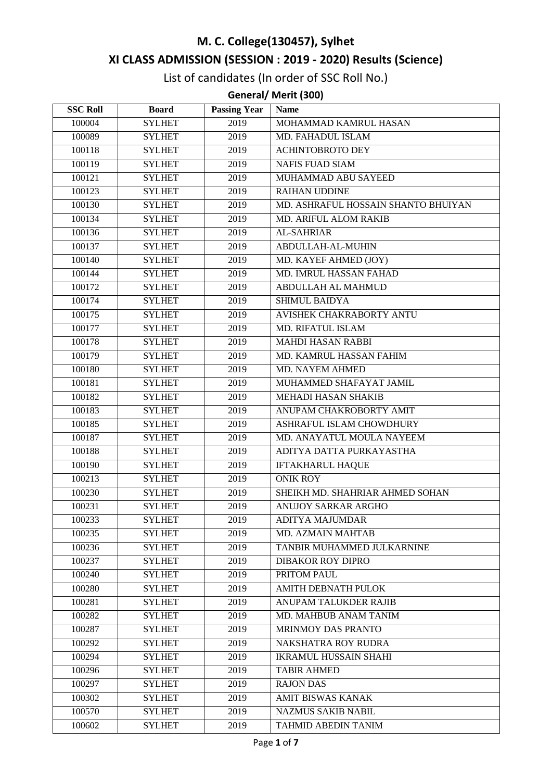# **M. C. College(130457), Sylhet**

# **XI CLASS ADMISSION (SESSION : 2019 - 2020) Results (Science)**

List of candidates (In order of SSC Roll No.)

## **General/ Merit (300)**

| <b>SSC Roll</b> | <b>Board</b>  | <b>Passing Year</b> | <b>Name</b>                         |
|-----------------|---------------|---------------------|-------------------------------------|
| 100004          | <b>SYLHET</b> | 2019                | MOHAMMAD KAMRUL HASAN               |
| 100089          | <b>SYLHET</b> | 2019                | MD. FAHADUL ISLAM                   |
| 100118          | <b>SYLHET</b> | 2019                | <b>ACHINTOBROTO DEY</b>             |
| 100119          | <b>SYLHET</b> | 2019                | <b>NAFIS FUAD SIAM</b>              |
| 100121          | <b>SYLHET</b> | 2019                | MUHAMMAD ABU SAYEED                 |
| 100123          | <b>SYLHET</b> | 2019                | <b>RAIHAN UDDINE</b>                |
| 100130          | <b>SYLHET</b> | 2019                | MD. ASHRAFUL HOSSAIN SHANTO BHUIYAN |
| 100134          | <b>SYLHET</b> | 2019                | MD. ARIFUL ALOM RAKIB               |
| 100136          | <b>SYLHET</b> | 2019                | AL-SAHRIAR                          |
| 100137          | <b>SYLHET</b> | 2019                | ABDULLAH-AL-MUHIN                   |
| 100140          | <b>SYLHET</b> | 2019                | MD. KAYEF AHMED (JOY)               |
| 100144          | <b>SYLHET</b> | 2019                | MD. IMRUL HASSAN FAHAD              |
| 100172          | <b>SYLHET</b> | 2019                | <b>ABDULLAH AL MAHMUD</b>           |
| 100174          | <b>SYLHET</b> | 2019                | SHIMUL BAIDYA                       |
| 100175          | <b>SYLHET</b> | 2019                | AVISHEK CHAKRABORTY ANTU            |
| 100177          | <b>SYLHET</b> | 2019                | <b>MD. RIFATUL ISLAM</b>            |
| 100178          | <b>SYLHET</b> | 2019                | <b>MAHDI HASAN RABBI</b>            |
| 100179          | <b>SYLHET</b> | 2019                | MD. KAMRUL HASSAN FAHIM             |
| 100180          | <b>SYLHET</b> | 2019                | <b>MD. NAYEM AHMED</b>              |
| 100181          | <b>SYLHET</b> | 2019                | <b>MUHAMMED SHAFAYAT JAMIL</b>      |
| 100182          | <b>SYLHET</b> | 2019                | MEHADI HASAN SHAKIB                 |
| 100183          | <b>SYLHET</b> | 2019                | ANUPAM CHAKROBORTY AMIT             |
| 100185          | <b>SYLHET</b> | 2019                | ASHRAFUL ISLAM CHOWDHURY            |
| 100187          | <b>SYLHET</b> | 2019                | MD. ANAYATUL MOULA NAYEEM           |
| 100188          | <b>SYLHET</b> | 2019                | ADITYA DATTA PURKAYASTHA            |
| 100190          | <b>SYLHET</b> | 2019                | <b>IFTAKHARUL HAQUE</b>             |
| 100213          | <b>SYLHET</b> | 2019                | <b>ONIK ROY</b>                     |
| 100230          | <b>SYLHET</b> | 2019                | SHEIKH MD. SHAHRIAR AHMED SOHAN     |
| 100231          | <b>SYLHET</b> | 2019                | ANUJOY SARKAR ARGHO                 |
| 100233          | <b>SYLHET</b> | 2019                | ADITYA MAJUMDAR                     |
| 100235          | <b>SYLHET</b> | 2019                | MD. AZMAIN MAHTAB                   |
| 100236          | <b>SYLHET</b> | 2019                | TANBIR MUHAMMED JULKARNINE          |
| 100237          | <b>SYLHET</b> | 2019                | <b>DIBAKOR ROY DIPRO</b>            |
| 100240          | <b>SYLHET</b> | 2019                | PRITOM PAUL                         |
| 100280          | <b>SYLHET</b> | 2019                | <b>AMITH DEBNATH PULOK</b>          |
| 100281          | <b>SYLHET</b> | 2019                | ANUPAM TALUKDER RAJIB               |
| 100282          | <b>SYLHET</b> | 2019                | MD. MAHBUB ANAM TANIM               |
| 100287          | <b>SYLHET</b> | 2019                | MRINMOY DAS PRANTO                  |
| 100292          | <b>SYLHET</b> | 2019                | NAKSHATRA ROY RUDRA                 |
| 100294          | <b>SYLHET</b> | 2019                | <b>IKRAMUL HUSSAIN SHAHI</b>        |
| 100296          | <b>SYLHET</b> | 2019                | <b>TABIR AHMED</b>                  |
| 100297          | <b>SYLHET</b> | 2019                | <b>RAJON DAS</b>                    |
| 100302          | <b>SYLHET</b> | 2019                | <b>AMIT BISWAS KANAK</b>            |
| 100570          | <b>SYLHET</b> | 2019                | <b>NAZMUS SAKIB NABIL</b>           |
| 100602          | <b>SYLHET</b> | 2019                | <b>TAHMID ABEDIN TANIM</b>          |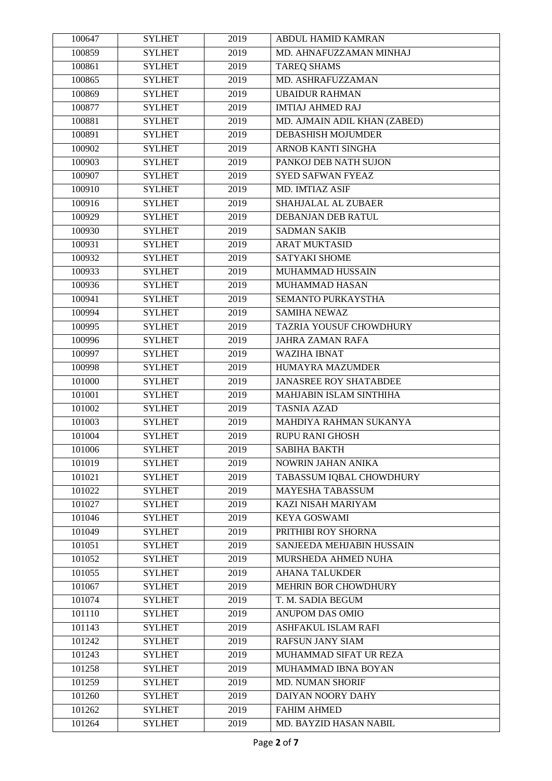| 100647 | <b>SYLHET</b>                  | 2019 | ABDUL HAMID KAMRAN             |
|--------|--------------------------------|------|--------------------------------|
| 100859 | <b>SYLHET</b>                  | 2019 | MD. AHNAFUZZAMAN MINHAJ        |
| 100861 | <b>SYLHET</b>                  | 2019 | <b>TAREQ SHAMS</b>             |
| 100865 | <b>SYLHET</b>                  | 2019 | <b>MD. ASHRAFUZZAMAN</b>       |
| 100869 | <b>SYLHET</b>                  | 2019 | <b>UBAIDUR RAHMAN</b>          |
| 100877 | <b>SYLHET</b>                  | 2019 | <b>IMTIAJ AHMED RAJ</b>        |
| 100881 | <b>SYLHET</b>                  | 2019 | MD. AJMAIN ADIL KHAN (ZABED)   |
| 100891 | <b>SYLHET</b>                  | 2019 | <b>DEBASHISH MOJUMDER</b>      |
| 100902 | <b>SYLHET</b>                  | 2019 | <b>ARNOB KANTI SINGHA</b>      |
| 100903 | <b>SYLHET</b>                  | 2019 | PANKOJ DEB NATH SUJON          |
| 100907 | <b>SYLHET</b>                  | 2019 | SYED SAFWAN FYEAZ              |
| 100910 | <b>SYLHET</b>                  | 2019 | MD. IMTIAZ ASIF                |
| 100916 | <b>SYLHET</b>                  | 2019 | SHAHJALAL AL ZUBAER            |
| 100929 | <b>SYLHET</b>                  | 2019 | DEBANJAN DEB RATUL             |
| 100930 | <b>SYLHET</b>                  | 2019 | <b>SADMAN SAKIB</b>            |
| 100931 | <b>SYLHET</b>                  | 2019 | <b>ARAT MUKTASID</b>           |
| 100932 | <b>SYLHET</b>                  | 2019 | <b>SATYAKI SHOME</b>           |
| 100933 | <b>SYLHET</b>                  | 2019 | MUHAMMAD HUSSAIN               |
| 100936 | <b>SYLHET</b>                  | 2019 | <b>MUHAMMAD HASAN</b>          |
| 100941 | <b>SYLHET</b>                  | 2019 | SEMANTO PURKAYSTHA             |
| 100994 | <b>SYLHET</b>                  | 2019 | <b>SAMIHA NEWAZ</b>            |
| 100995 | <b>SYLHET</b>                  | 2019 | <b>TAZRIA YOUSUF CHOWDHURY</b> |
| 100996 | <b>SYLHET</b>                  | 2019 | <b>JAHRA ZAMAN RAFA</b>        |
| 100997 | <b>SYLHET</b>                  | 2019 | <b>WAZIHA IBNAT</b>            |
| 100998 | <b>SYLHET</b>                  | 2019 | HUMAYRA MAZUMDER               |
| 101000 | <b>SYLHET</b>                  | 2019 | <b>JANASREE ROY SHATABDEE</b>  |
| 101001 | <b>SYLHET</b>                  | 2019 | MAHJABIN ISLAM SINTHIHA        |
| 101002 |                                | 2019 | <b>TASNIA AZAD</b>             |
| 101003 | <b>SYLHET</b><br><b>SYLHET</b> | 2019 | MAHDIYA RAHMAN SUKANYA         |
| 101004 | <b>SYLHET</b>                  | 2019 | <b>RUPU RANI GHOSH</b>         |
|        | <b>SYLHET</b>                  |      | <b>SABIHA BAKTH</b>            |
| 101006 |                                | 2019 | NOWRIN JAHAN ANIKA             |
| 101019 | <b>SYLHET</b>                  | 2019 |                                |
| 101021 | <b>SYLHET</b>                  | 2019 | TABASSUM IQBAL CHOWDHURY       |
| 101022 | <b>SYLHET</b>                  | 2019 | <b>MAYESHA TABASSUM</b>        |
| 101027 | <b>SYLHET</b>                  | 2019 | KAZI NISAH MARIYAM             |
| 101046 | <b>SYLHET</b>                  | 2019 | <b>KEYA GOSWAMI</b>            |
| 101049 | <b>SYLHET</b>                  | 2019 | PRITHIBI ROY SHORNA            |
| 101051 | <b>SYLHET</b>                  | 2019 | SANJEEDA MEHJABIN HUSSAIN      |
| 101052 | <b>SYLHET</b>                  | 2019 | MURSHEDA AHMED NUHA            |
| 101055 | <b>SYLHET</b>                  | 2019 | <b>AHANA TALUKDER</b>          |
| 101067 | <b>SYLHET</b>                  | 2019 | MEHRIN BOR CHOWDHURY           |
| 101074 | <b>SYLHET</b>                  | 2019 | T. M. SADIA BEGUM              |
| 101110 | <b>SYLHET</b>                  | 2019 | ANUPOM DAS OMIO                |
| 101143 | <b>SYLHET</b>                  | 2019 | <b>ASHFAKUL ISLAM RAFI</b>     |
| 101242 | <b>SYLHET</b>                  | 2019 | <b>RAFSUN JANY SIAM</b>        |
| 101243 | <b>SYLHET</b>                  | 2019 | MUHAMMAD SIFAT UR REZA         |
| 101258 | <b>SYLHET</b>                  | 2019 | MUHAMMAD IBNA BOYAN            |
| 101259 | <b>SYLHET</b>                  | 2019 | MD. NUMAN SHORIF               |
| 101260 | <b>SYLHET</b>                  | 2019 | DAIYAN NOORY DAHY              |
| 101262 | <b>SYLHET</b>                  | 2019 | <b>FAHIM AHMED</b>             |
| 101264 | <b>SYLHET</b>                  | 2019 | MD. BAYZID HASAN NABIL         |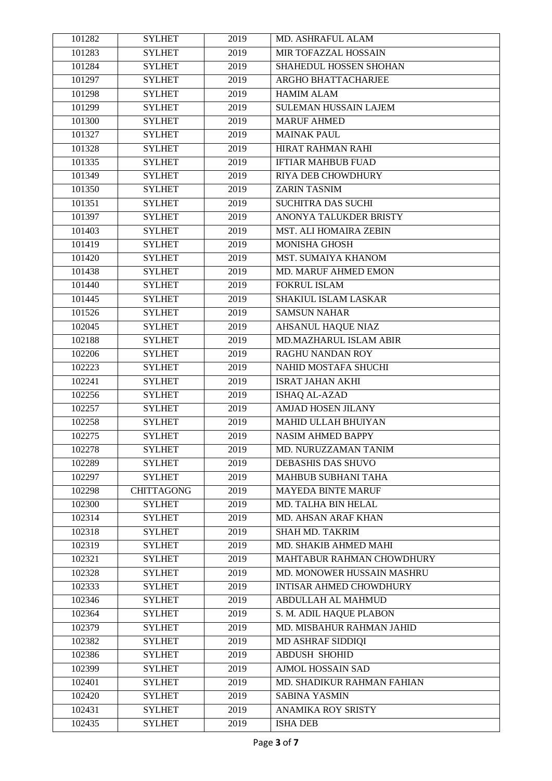| 101282 | <b>SYLHET</b>     | 2019 | MD. ASHRAFUL ALAM              |
|--------|-------------------|------|--------------------------------|
| 101283 | <b>SYLHET</b>     | 2019 | MIR TOFAZZAL HOSSAIN           |
| 101284 | <b>SYLHET</b>     | 2019 | SHAHEDUL HOSSEN SHOHAN         |
| 101297 | <b>SYLHET</b>     | 2019 | ARGHO BHATTACHARJEE            |
| 101298 | <b>SYLHET</b>     | 2019 | <b>HAMIM ALAM</b>              |
| 101299 | <b>SYLHET</b>     | 2019 | <b>SULEMAN HUSSAIN LAJEM</b>   |
| 101300 | <b>SYLHET</b>     | 2019 | <b>MARUF AHMED</b>             |
| 101327 | <b>SYLHET</b>     | 2019 | <b>MAINAK PAUL</b>             |
| 101328 | <b>SYLHET</b>     | 2019 | <b>HIRAT RAHMAN RAHI</b>       |
| 101335 | <b>SYLHET</b>     | 2019 | <b>IFTIAR MAHBUB FUAD</b>      |
| 101349 | <b>SYLHET</b>     | 2019 | <b>RIYA DEB CHOWDHURY</b>      |
| 101350 | <b>SYLHET</b>     | 2019 | <b>ZARIN TASNIM</b>            |
| 101351 | <b>SYLHET</b>     | 2019 | <b>SUCHITRA DAS SUCHI</b>      |
| 101397 | <b>SYLHET</b>     | 2019 | ANONYA TALUKDER BRISTY         |
| 101403 | <b>SYLHET</b>     | 2019 | MST. ALI HOMAIRA ZEBIN         |
| 101419 | <b>SYLHET</b>     | 2019 | <b>MONISHA GHOSH</b>           |
| 101420 | <b>SYLHET</b>     | 2019 | MST. SUMAIYA KHANOM            |
| 101438 | <b>SYLHET</b>     | 2019 | MD. MARUF AHMED EMON           |
| 101440 | <b>SYLHET</b>     | 2019 |                                |
|        |                   |      | FOKRUL ISLAM                   |
| 101445 | <b>SYLHET</b>     | 2019 | SHAKIUL ISLAM LASKAR           |
| 101526 | <b>SYLHET</b>     | 2019 | <b>SAMSUN NAHAR</b>            |
| 102045 | <b>SYLHET</b>     | 2019 | <b>AHSANUL HAQUE NIAZ</b>      |
| 102188 | <b>SYLHET</b>     | 2019 | MD.MAZHARUL ISLAM ABIR         |
| 102206 | <b>SYLHET</b>     | 2019 | RAGHU NANDAN ROY               |
| 102223 | <b>SYLHET</b>     | 2019 | NAHID MOSTAFA SHUCHI           |
| 102241 | <b>SYLHET</b>     | 2019 | <b>ISRAT JAHAN AKHI</b>        |
| 102256 | <b>SYLHET</b>     | 2019 | ISHAQ AL-AZAD                  |
| 102257 | <b>SYLHET</b>     | 2019 | <b>AMJAD HOSEN JILANY</b>      |
| 102258 | <b>SYLHET</b>     | 2019 | MAHID ULLAH BHUIYAN            |
| 102275 | <b>SYLHET</b>     | 2019 | <b>NASIM AHMED BAPPY</b>       |
| 102278 | <b>SYLHET</b>     | 2019 | MD. NURUZZAMAN TANIM           |
| 102289 | <b>SYLHET</b>     | 2019 | <b>DEBASHIS DAS SHUVO</b>      |
| 102297 | <b>SYLHET</b>     | 2019 | <b>MAHBUB SUBHANI TAHA</b>     |
| 102298 | <b>CHITTAGONG</b> | 2019 | <b>MAYEDA BINTE MARUF</b>      |
| 102300 | <b>SYLHET</b>     | 2019 | MD. TALHA BIN HELAL            |
| 102314 | <b>SYLHET</b>     | 2019 | MD. AHSAN ARAF KHAN            |
| 102318 | <b>SYLHET</b>     | 2019 | <b>SHAH MD. TAKRIM</b>         |
| 102319 | <b>SYLHET</b>     | 2019 | MD. SHAKIB AHMED MAHI          |
| 102321 | <b>SYLHET</b>     | 2019 | MAHTABUR RAHMAN CHOWDHURY      |
| 102328 | <b>SYLHET</b>     | 2019 | MD. MONOWER HUSSAIN MASHRU     |
| 102333 | <b>SYLHET</b>     | 2019 | <b>INTISAR AHMED CHOWDHURY</b> |
| 102346 | <b>SYLHET</b>     | 2019 | ABDULLAH AL MAHMUD             |
| 102364 | <b>SYLHET</b>     | 2019 | S. M. ADIL HAQUE PLABON        |
| 102379 | <b>SYLHET</b>     | 2019 | MD. MISBAHUR RAHMAN JAHID      |
| 102382 | <b>SYLHET</b>     | 2019 | MD ASHRAF SIDDIQI              |
| 102386 | <b>SYLHET</b>     | 2019 | <b>ABDUSH SHOHID</b>           |
| 102399 | <b>SYLHET</b>     | 2019 | <b>AJMOL HOSSAIN SAD</b>       |
| 102401 | <b>SYLHET</b>     | 2019 | MD. SHADIKUR RAHMAN FAHIAN     |
| 102420 | <b>SYLHET</b>     | 2019 | <b>SABINA YASMIN</b>           |
| 102431 | <b>SYLHET</b>     | 2019 | ANAMIKA ROY SRISTY             |
| 102435 | <b>SYLHET</b>     | 2019 | <b>ISHA DEB</b>                |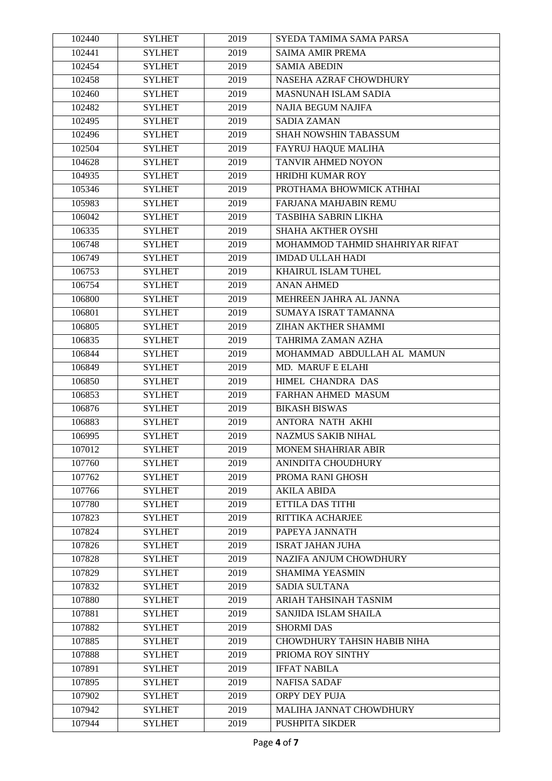| 102440 | <b>SYLHET</b> | 2019 | SYEDA TAMIMA SAMA PARSA         |
|--------|---------------|------|---------------------------------|
| 102441 | <b>SYLHET</b> | 2019 | <b>SAIMA AMIR PREMA</b>         |
| 102454 | <b>SYLHET</b> | 2019 | <b>SAMIA ABEDIN</b>             |
| 102458 | <b>SYLHET</b> | 2019 | NASEHA AZRAF CHOWDHURY          |
| 102460 | <b>SYLHET</b> | 2019 | <b>MASNUNAH ISLAM SADIA</b>     |
| 102482 | <b>SYLHET</b> | 2019 | <b>NAJIA BEGUM NAJIFA</b>       |
| 102495 | <b>SYLHET</b> | 2019 | <b>SADIA ZAMAN</b>              |
| 102496 | <b>SYLHET</b> | 2019 | SHAH NOWSHIN TABASSUM           |
| 102504 | <b>SYLHET</b> | 2019 | <b>FAYRUJ HAQUE MALIHA</b>      |
| 104628 | <b>SYLHET</b> | 2019 | <b>TANVIR AHMED NOYON</b>       |
| 104935 | <b>SYLHET</b> | 2019 | <b>HRIDHI KUMAR ROY</b>         |
| 105346 | <b>SYLHET</b> | 2019 | PROTHAMA BHOWMICK ATHHAI        |
| 105983 | <b>SYLHET</b> | 2019 | FARJANA MAHJABIN REMU           |
| 106042 | <b>SYLHET</b> | 2019 | TASBIHA SABRIN LIKHA            |
| 106335 | <b>SYLHET</b> | 2019 | SHAHA AKTHER OYSHI              |
| 106748 | <b>SYLHET</b> | 2019 | MOHAMMOD TAHMID SHAHRIYAR RIFAT |
| 106749 | <b>SYLHET</b> | 2019 | <b>IMDAD ULLAH HADI</b>         |
| 106753 | <b>SYLHET</b> | 2019 | KHAIRUL ISLAM TUHEL             |
| 106754 | <b>SYLHET</b> | 2019 | <b>ANAN AHMED</b>               |
| 106800 | <b>SYLHET</b> | 2019 | MEHREEN JAHRA AL JANNA          |
| 106801 | <b>SYLHET</b> | 2019 | SUMAYA ISRAT TAMANNA            |
| 106805 | <b>SYLHET</b> | 2019 | <b>ZIHAN AKTHER SHAMMI</b>      |
| 106835 | <b>SYLHET</b> | 2019 | TAHRIMA ZAMAN AZHA              |
| 106844 | <b>SYLHET</b> | 2019 | MOHAMMAD ABDULLAH AL MAMUN      |
| 106849 | <b>SYLHET</b> | 2019 | MD. MARUF E ELAHI               |
| 106850 | <b>SYLHET</b> | 2019 | HIMEL CHANDRA DAS               |
| 106853 | <b>SYLHET</b> | 2019 | FARHAN AHMED MASUM              |
| 106876 | <b>SYLHET</b> | 2019 | <b>BIKASH BISWAS</b>            |
| 106883 | <b>SYLHET</b> | 2019 | <b>ANTORA NATH AKHI</b>         |
| 106995 | <b>SYLHET</b> | 2019 | <b>NAZMUS SAKIB NIHAL</b>       |
| 107012 | <b>SYLHET</b> | 2019 | MONEM SHAHRIAR ABIR             |
| 107760 | <b>SYLHET</b> | 2019 | ANINDITA CHOUDHURY              |
| 107762 | <b>SYLHET</b> | 2019 | PROMA RANI GHOSH                |
| 107766 | <b>SYLHET</b> | 2019 | <b>AKILA ABIDA</b>              |
| 107780 | <b>SYLHET</b> | 2019 | ETTILA DAS TITHI                |
| 107823 | <b>SYLHET</b> | 2019 | RITTIKA ACHARJEE                |
| 107824 | <b>SYLHET</b> | 2019 | PAPEYA JANNATH                  |
| 107826 | <b>SYLHET</b> | 2019 | <b>ISRAT JAHAN JUHA</b>         |
| 107828 | <b>SYLHET</b> | 2019 | NAZIFA ANJUM CHOWDHURY          |
| 107829 | <b>SYLHET</b> | 2019 | SHAMIMA YEASMIN                 |
| 107832 | <b>SYLHET</b> | 2019 | <b>SADIA SULTANA</b>            |
| 107880 | <b>SYLHET</b> | 2019 | ARIAH TAHSINAH TASNIM           |
|        |               |      |                                 |
| 107881 | <b>SYLHET</b> | 2019 | SANJIDA ISLAM SHAILA            |
| 107882 | <b>SYLHET</b> | 2019 | <b>SHORMI DAS</b>               |
| 107885 | <b>SYLHET</b> | 2019 | CHOWDHURY TAHSIN HABIB NIHA     |
| 107888 | <b>SYLHET</b> | 2019 | PRIOMA ROY SINTHY               |
| 107891 | <b>SYLHET</b> | 2019 | <b>IFFAT NABILA</b>             |
| 107895 | <b>SYLHET</b> | 2019 | <b>NAFISA SADAF</b>             |
| 107902 | <b>SYLHET</b> | 2019 | ORPY DEY PUJA                   |
| 107942 | <b>SYLHET</b> | 2019 | MALIHA JANNAT CHOWDHURY         |
| 107944 | <b>SYLHET</b> | 2019 | PUSHPITA SIKDER                 |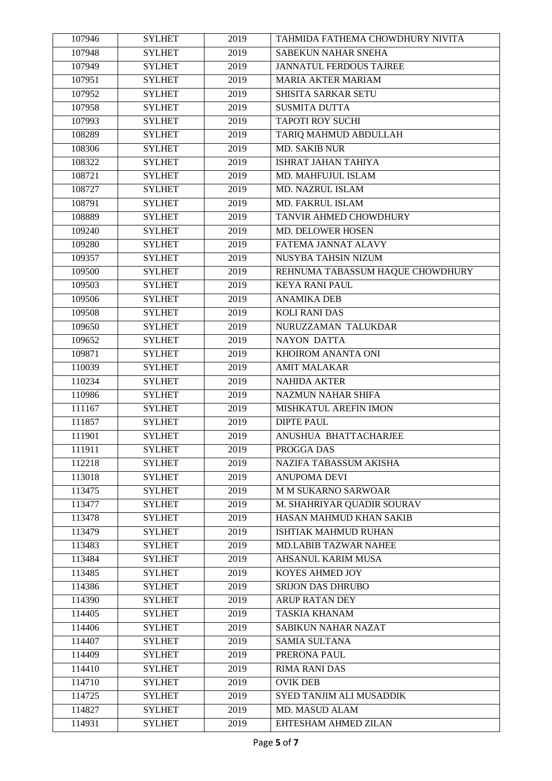| 107946 | <b>SYLHET</b> | 2019 | TAHMIDA FATHEMA CHOWDHURY NIVITA |
|--------|---------------|------|----------------------------------|
| 107948 | <b>SYLHET</b> | 2019 | SABEKUN NAHAR SNEHA              |
| 107949 | <b>SYLHET</b> | 2019 | <b>JANNATUL FERDOUS TAJREE</b>   |
| 107951 | <b>SYLHET</b> | 2019 | <b>MARIA AKTER MARIAM</b>        |
| 107952 | <b>SYLHET</b> | 2019 | SHISITA SARKAR SETU              |
| 107958 | <b>SYLHET</b> | 2019 | <b>SUSMITA DUTTA</b>             |
| 107993 | <b>SYLHET</b> | 2019 | <b>TAPOTI ROY SUCHI</b>          |
| 108289 | <b>SYLHET</b> | 2019 | TARIQ MAHMUD ABDULLAH            |
| 108306 | <b>SYLHET</b> | 2019 | <b>MD. SAKIB NUR</b>             |
| 108322 | <b>SYLHET</b> | 2019 | <b>ISHRAT JAHAN TAHIYA</b>       |
| 108721 | <b>SYLHET</b> | 2019 | MD. MAHFUJUL ISLAM               |
| 108727 | <b>SYLHET</b> | 2019 | MD. NAZRUL ISLAM                 |
| 108791 | <b>SYLHET</b> | 2019 | MD. FAKRUL ISLAM                 |
| 108889 | <b>SYLHET</b> | 2019 | TANVIR AHMED CHOWDHURY           |
| 109240 | <b>SYLHET</b> | 2019 | MD. DELOWER HOSEN                |
| 109280 | <b>SYLHET</b> | 2019 | FATEMA JANNAT ALAVY              |
| 109357 | <b>SYLHET</b> | 2019 | NUSYBA TAHSIN NIZUM              |
| 109500 | <b>SYLHET</b> | 2019 | REHNUMA TABASSUM HAQUE CHOWDHURY |
| 109503 | <b>SYLHET</b> | 2019 | <b>KEYA RANI PAUL</b>            |
| 109506 | <b>SYLHET</b> | 2019 | <b>ANAMIKA DEB</b>               |
| 109508 | <b>SYLHET</b> | 2019 | <b>KOLI RANI DAS</b>             |
| 109650 | <b>SYLHET</b> | 2019 | NURUZZAMAN TALUKDAR              |
| 109652 | <b>SYLHET</b> | 2019 | NAYON DATTA                      |
| 109871 | <b>SYLHET</b> | 2019 | KHOIROM ANANTA ONI               |
| 110039 | <b>SYLHET</b> | 2019 | <b>AMIT MALAKAR</b>              |
| 110234 | <b>SYLHET</b> | 2019 | <b>NAHIDA AKTER</b>              |
| 110986 | <b>SYLHET</b> | 2019 | <b>NAZMUN NAHAR SHIFA</b>        |
| 111167 | <b>SYLHET</b> | 2019 | MISHKATUL AREFIN IMON            |
| 111857 | <b>SYLHET</b> | 2019 | <b>DIPTE PAUL</b>                |
| 111901 | <b>SYLHET</b> | 2019 | ANUSHUA BHATTACHARJEE            |
| 111911 | <b>SYLHET</b> | 2019 | PROGGA DAS                       |
| 112218 | <b>SYLHET</b> | 2019 | NAZIFA TABASSUM AKISHA           |
| 113018 | <b>SYLHET</b> | 2019 | <b>ANUPOMA DEVI</b>              |
| 113475 | <b>SYLHET</b> | 2019 | <b>M M SUKARNO SARWOAR</b>       |
| 113477 | <b>SYLHET</b> | 2019 | M. SHAHRIYAR QUADIR SOURAV       |
| 113478 | <b>SYLHET</b> | 2019 | HASAN MAHMUD KHAN SAKIB          |
| 113479 | <b>SYLHET</b> | 2019 | ISHTIAK MAHMUD RUHAN             |
| 113483 | <b>SYLHET</b> | 2019 | MD.LABIB TAZWAR NAHEE            |
| 113484 | <b>SYLHET</b> | 2019 | AHSANUL KARIM MUSA               |
| 113485 | <b>SYLHET</b> | 2019 | KOYES AHMED JOY                  |
| 114386 | <b>SYLHET</b> | 2019 | <b>SRIJON DAS DHRUBO</b>         |
| 114390 | <b>SYLHET</b> | 2019 | ARUP RATAN DEY                   |
| 114405 | <b>SYLHET</b> | 2019 | <b>TASKIA KHANAM</b>             |
| 114406 | <b>SYLHET</b> | 2019 | <b>SABIKUN NAHAR NAZAT</b>       |
| 114407 | <b>SYLHET</b> | 2019 | <b>SAMIA SULTANA</b>             |
| 114409 | <b>SYLHET</b> | 2019 | PRERONA PAUL                     |
| 114410 | <b>SYLHET</b> | 2019 | <b>RIMA RANI DAS</b>             |
| 114710 | <b>SYLHET</b> | 2019 | <b>OVIK DEB</b>                  |
| 114725 | <b>SYLHET</b> | 2019 | SYED TANJIM ALI MUSADDIK         |
| 114827 |               | 2019 | MD. MASUD ALAM                   |
|        | <b>SYLHET</b> |      |                                  |
| 114931 | <b>SYLHET</b> | 2019 | EHTESHAM AHMED ZILAN             |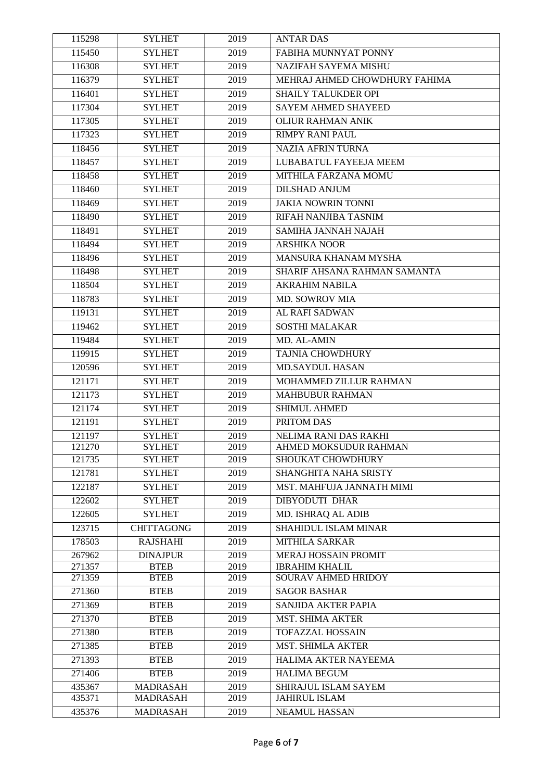| 115298           | <b>SYLHET</b>                      | 2019         | <b>ANTAR DAS</b>                             |
|------------------|------------------------------------|--------------|----------------------------------------------|
| 115450           | <b>SYLHET</b>                      | 2019         | FABIHA MUNNYAT PONNY                         |
| 116308           | <b>SYLHET</b>                      | 2019         | <b>NAZIFAH SAYEMA MISHU</b>                  |
| 116379           | <b>SYLHET</b>                      | 2019         | MEHRAJ AHMED CHOWDHURY FAHIMA                |
| 116401           | <b>SYLHET</b>                      | 2019         | SHAILY TALUKDER OPI                          |
| 117304           | <b>SYLHET</b>                      | 2019         | <b>SAYEM AHMED SHAYEED</b>                   |
| 117305           | <b>SYLHET</b>                      | 2019         | <b>OLIUR RAHMAN ANIK</b>                     |
| 117323           | <b>SYLHET</b>                      | 2019         | <b>RIMPY RANI PAUL</b>                       |
| 118456           | <b>SYLHET</b>                      | 2019         | <b>NAZIA AFRIN TURNA</b>                     |
| 118457           | <b>SYLHET</b>                      | 2019         | LUBABATUL FAYEEJA MEEM                       |
| 118458           | <b>SYLHET</b>                      | 2019         | MITHILA FARZANA MOMU                         |
| 118460           | <b>SYLHET</b>                      | 2019         | <b>DILSHAD ANJUM</b>                         |
| 118469           | <b>SYLHET</b>                      | 2019         | <b>JAKIA NOWRIN TONNI</b>                    |
| 118490           | <b>SYLHET</b>                      | 2019         | RIFAH NANJIBA TASNIM                         |
| 118491           | <b>SYLHET</b>                      | 2019         | SAMIHA JANNAH NAJAH                          |
| 118494           | <b>SYLHET</b>                      | 2019         | <b>ARSHIKA NOOR</b>                          |
| 118496           | <b>SYLHET</b>                      | 2019         | MANSURA KHANAM MYSHA                         |
| 118498           | <b>SYLHET</b>                      | 2019         | SHARIF AHSANA RAHMAN SAMANTA                 |
| 118504           | <b>SYLHET</b>                      | 2019         | <b>AKRAHIM NABILA</b>                        |
| 118783           | <b>SYLHET</b>                      | 2019         | MD. SOWROV MIA                               |
| 119131           | <b>SYLHET</b>                      | 2019         | AL RAFI SADWAN                               |
| 119462           | <b>SYLHET</b>                      | 2019         | <b>SOSTHI MALAKAR</b>                        |
| 119484           | <b>SYLHET</b>                      | 2019         | MD. AL-AMIN                                  |
| 119915           | <b>SYLHET</b>                      | 2019         | <b>TAJNIA CHOWDHURY</b>                      |
| 120596           | <b>SYLHET</b>                      | 2019         | <b>MD.SAYDUL HASAN</b>                       |
| 121171           | <b>SYLHET</b>                      | 2019         | MOHAMMED ZILLUR RAHMAN                       |
| 121173           | <b>SYLHET</b>                      | 2019         | <b>MAHBUBUR RAHMAN</b>                       |
| 121174           | <b>SYLHET</b>                      | 2019         | SHIMUL AHMED                                 |
| 121191           | <b>SYLHET</b>                      | 2019         | PRITOM DAS                                   |
| 121197           | <b>SYLHET</b>                      | 2019         | NELIMA RANI DAS RAKHI                        |
| 121270           | <b>SYLHET</b>                      | 2019         | <b>AHMED MOKSUDUR RAHMAN</b>                 |
| 121735           | <b>SYLHET</b>                      | 2019         | SHOUKAT CHOWDHURY                            |
| 121781           | <b>SYLHET</b>                      | 2019         | SHANGHITA NAHA SRISTY                        |
| 122187           | <b>SYLHET</b>                      | 2019         | MST. MAHFUJA JANNATH MIMI                    |
| 122602           | <b>SYLHET</b>                      | 2019         | DIBYODUTI DHAR                               |
| 122605           | <b>SYLHET</b>                      | 2019         | MD. ISHRAQ AL ADIB                           |
| 123715           | <b>CHITTAGONG</b>                  | 2019         | SHAHIDUL ISLAM MINAR                         |
| 178503           | <b>RAJSHAHI</b>                    | 2019         | <b>MITHILA SARKAR</b>                        |
| 267962           | <b>DINAJPUR</b>                    | 2019         | MERAJ HOSSAIN PROMIT                         |
| 271357           | <b>BTEB</b>                        | 2019         | <b>IBRAHIM KHALIL</b><br>SOURAV AHMED HRIDOY |
| 271359           | <b>BTEB</b>                        | 2019         |                                              |
| 271360           | <b>BTEB</b>                        | 2019         | <b>SAGOR BASHAR</b>                          |
| 271369           | <b>BTEB</b>                        | 2019         | SANJIDA AKTER PAPIA                          |
| 271370           | <b>BTEB</b>                        | 2019         | <b>MST. SHIMA AKTER</b>                      |
| 271380           | <b>BTEB</b>                        | 2019         | <b>TOFAZZAL HOSSAIN</b>                      |
| 271385           | <b>BTEB</b>                        | 2019         | <b>MST. SHIMLA AKTER</b>                     |
| 271393           | <b>BTEB</b>                        | 2019         | HALIMA AKTER NAYEEMA                         |
| 271406           | <b>BTEB</b>                        | 2019         | <b>HALIMA BEGUM</b>                          |
| 435367<br>435371 | <b>MADRASAH</b><br><b>MADRASAH</b> | 2019<br>2019 | SHIRAJUL ISLAM SAYEM<br><b>JAHIRUL ISLAM</b> |
| 435376           | <b>MADRASAH</b>                    | 2019         | <b>NEAMUL HASSAN</b>                         |
|                  |                                    |              |                                              |